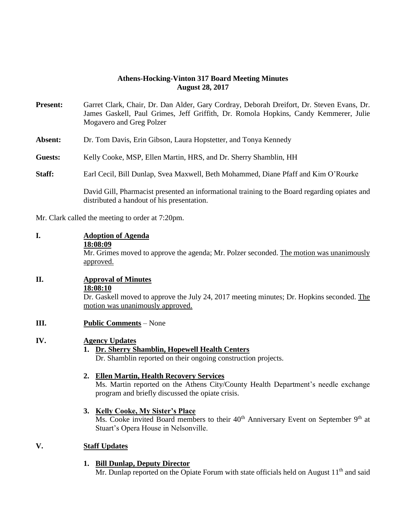## **Athens-Hocking-Vinton 317 Board Meeting Minutes August 28, 2017**

- **Present:** Garret Clark, Chair, Dr. Dan Alder, Gary Cordray, Deborah Dreifort, Dr. Steven Evans, Dr. James Gaskell, Paul Grimes, Jeff Griffith, Dr. Romola Hopkins, Candy Kemmerer, Julie Mogavero and Greg Polzer
- **Absent:** Dr. Tom Davis, Erin Gibson, Laura Hopstetter, and Tonya Kennedy
- **Guests:** Kelly Cooke, MSP, Ellen Martin, HRS, and Dr. Sherry Shamblin, HH
- **Staff:** Earl Cecil, Bill Dunlap, Svea Maxwell, Beth Mohammed, Diane Pfaff and Kim O'Rourke

David Gill, Pharmacist presented an informational training to the Board regarding opiates and distributed a handout of his presentation.

Mr. Clark called the meeting to order at 7:20pm.

#### **I. Adoption of Agenda 18:08:09** Mr. Grimes moved to approve the agenda; Mr. Polzer seconded. The motion was unanimously approved.

### **II. Approval of Minutes 18:08:10**

Dr. Gaskell moved to approve the July 24, 2017 meeting minutes; Dr. Hopkins seconded. The motion was unanimously approved.

**III. Public Comments** – None

### **IV. Agency Updates**

**1. Dr. Sherry Shamblin, Hopewell Health Centers**

Dr. Shamblin reported on their ongoing construction projects.

#### **2. Ellen Martin, Health Recovery Services**

Ms. Martin reported on the Athens City/County Health Department's needle exchange program and briefly discussed the opiate crisis.

### **3. Kelly Cooke, My Sister's Place**

Ms. Cooke invited Board members to their  $40<sup>th</sup>$  Anniversary Event on September  $9<sup>th</sup>$  at Stuart's Opera House in Nelsonville.

#### **V. Staff Updates**

### **1. Bill Dunlap, Deputy Director**

Mr. Dunlap reported on the Opiate Forum with state officials held on August  $11<sup>th</sup>$  and said